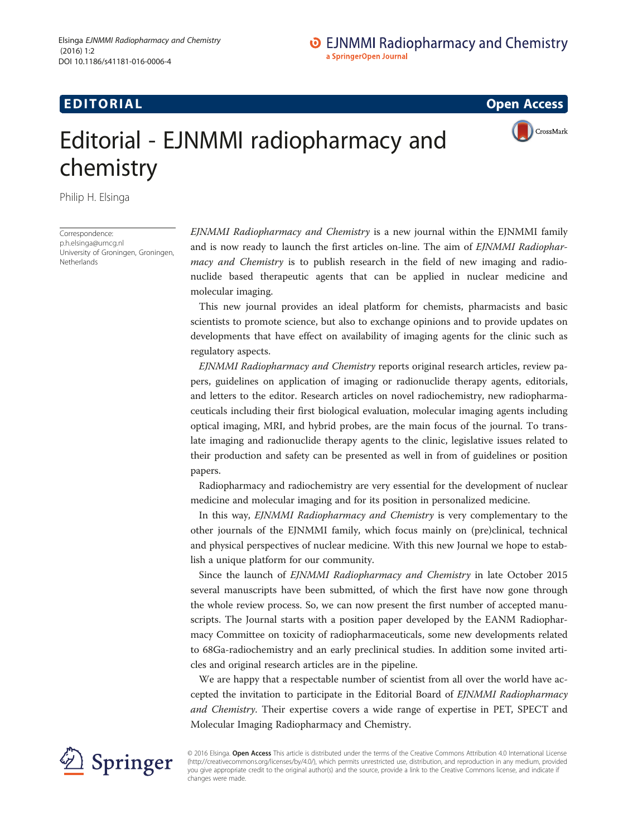**EDITORIAL** CONTROL CONTROL CONTROL CONTROL CONTROL CONTROL CONTROL CONTROL CONTROL CONTROL CONTROL CONTROL CONTROL CONTROL CONTROL CONTROL CONTROL CONTROL CONTROL CONTROL CONTROL CONTROL CONTROL CONTROL CONTROL CONTROL CO

CrossMark

## Editorial - EJNMMI radiopharmacy and chemistry

Philip H. Elsinga

Correspondence: [p.h.elsinga@umcg.nl](mailto:p.h.elsinga@umcg.nl) University of Groningen, Groningen, **Netherlands** 

EJNMMI Radiopharmacy and Chemistry is a new journal within the EJNMMI family and is now ready to launch the first articles on-line. The aim of EJNMMI Radiopharmacy and Chemistry is to publish research in the field of new imaging and radionuclide based therapeutic agents that can be applied in nuclear medicine and molecular imaging.

This new journal provides an ideal platform for chemists, pharmacists and basic scientists to promote science, but also to exchange opinions and to provide updates on developments that have effect on availability of imaging agents for the clinic such as regulatory aspects.

EJNMMI Radiopharmacy and Chemistry reports original research articles, review papers, guidelines on application of imaging or radionuclide therapy agents, editorials, and letters to the editor. Research articles on novel radiochemistry, new radiopharmaceuticals including their first biological evaluation, molecular imaging agents including optical imaging, MRI, and hybrid probes, are the main focus of the journal. To translate imaging and radionuclide therapy agents to the clinic, legislative issues related to their production and safety can be presented as well in from of guidelines or position papers.

Radiopharmacy and radiochemistry are very essential for the development of nuclear medicine and molecular imaging and for its position in personalized medicine.

In this way, EJNMMI Radiopharmacy and Chemistry is very complementary to the other journals of the EJNMMI family, which focus mainly on (pre)clinical, technical and physical perspectives of nuclear medicine. With this new Journal we hope to establish a unique platform for our community.

Since the launch of EJNMMI Radiopharmacy and Chemistry in late October 2015 several manuscripts have been submitted, of which the first have now gone through the whole review process. So, we can now present the first number of accepted manuscripts. The Journal starts with a position paper developed by the EANM Radiopharmacy Committee on toxicity of radiopharmaceuticals, some new developments related to 68Ga-radiochemistry and an early preclinical studies. In addition some invited articles and original research articles are in the pipeline.

We are happy that a respectable number of scientist from all over the world have accepted the invitation to participate in the Editorial Board of EJNMMI Radiopharmacy and Chemistry. Their expertise covers a wide range of expertise in PET, SPECT and Molecular Imaging Radiopharmacy and Chemistry.



© 2016 Elsinga. Open Access This article is distributed under the terms of the Creative Commons Attribution 4.0 International License ([http://creativecommons.org/licenses/by/4.0/\)](http://creativecommons.org/licenses/by/4.0/), which permits unrestricted use, distribution, and reproduction in any medium, provided you give appropriate credit to the original author(s) and the source, provide a link to the Creative Commons license, and indicate if changes were made.